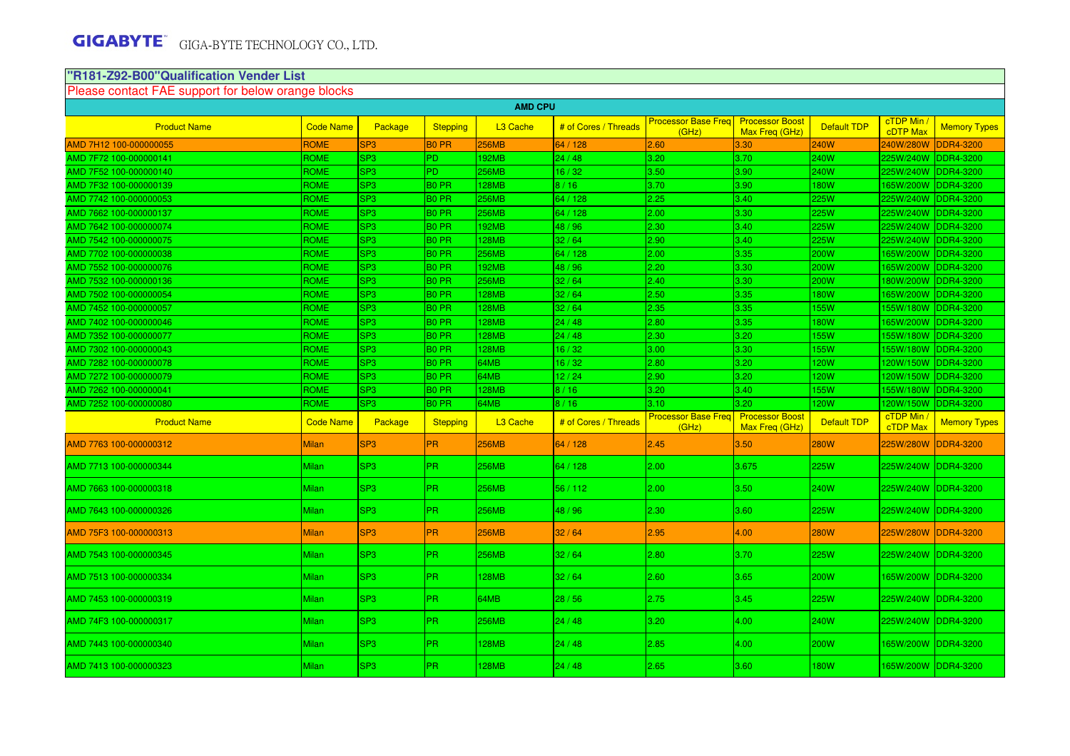# **"R181-Z92-B00"Qualification Vender List** Please contact FAE support for below orange blocks

|                                                  | <b>AMD CPU</b>             |                                    |                              |                              |                      |                                     |                                          |                    |                                            |                     |  |  |  |
|--------------------------------------------------|----------------------------|------------------------------------|------------------------------|------------------------------|----------------------|-------------------------------------|------------------------------------------|--------------------|--------------------------------------------|---------------------|--|--|--|
| <b>Product Name</b>                              | <b>Code Name</b>           | Package                            | <b>Stepping</b>              | L <sub>3</sub> Cache         | # of Cores / Threads | <b>Processor Base Freg</b><br>(GHz) | <b>Processor Boost</b><br>Max Freq (GHz) | <b>Default TDP</b> | cTDP Min /<br>cDTP Max                     | <b>Memory Types</b> |  |  |  |
| AMD 7H12 100-000000055                           | <b>ROME</b>                | SP <sub>3</sub>                    | <b>BO PR</b>                 | <b>256MB</b>                 | 64 / 128             | 2.60                                | 3.30                                     | <b>240W</b>        | 240W/280W                                  | <b>DDR4-3200</b>    |  |  |  |
| AMD 7F72 100-000000141                           | <b>ROME</b>                | SP <sub>3</sub>                    | lPD.                         | <b>192MB</b>                 | 24/48                | 3.20                                | 3.70                                     | 240W               | 225W/240W                                  | DDR4-3200           |  |  |  |
| AMD 7F52 100-000000140                           | <b>ROME</b>                | SP <sub>3</sub>                    | <b>PD</b>                    | <b>256MB</b>                 | 16/32                | 3.50                                | 3.90                                     | 240W               | 225W/240W                                  | <b>DDR4-3200</b>    |  |  |  |
| AMD 7F32 100-000000139                           | ROME                       | SP <sub>3</sub>                    | <b>BO PR</b>                 | 128MB                        | 8/16                 | 3.70                                | 3.90                                     | 180W               | 165W/200W DDR4-3200                        |                     |  |  |  |
| AMD 7742 100-000000053                           | <b>ROME</b>                | SP <sub>3</sub>                    | <b>BO PR</b>                 | <b>256MB</b>                 | 64 / 128             | 2.25                                | 3.40                                     | 225W               | 225W/240W DDR4-3200                        |                     |  |  |  |
| AMD 7662 100-000000137                           | <b>ROME</b>                | SP <sub>3</sub>                    | <b>BO PR</b>                 | <b>256MB</b>                 | 64 / 128             | 2.00                                | 3.30                                     | <b>225W</b>        | 225W/240W                                  | DDR4-3200           |  |  |  |
| AMD 7642 100-000000074                           | <b>ROME</b>                | SP <sub>3</sub>                    | <b>BO PR</b>                 | 192MB                        | 48 / 96              | 2.30                                | 3.40                                     | <b>225W</b>        | 225W/240W                                  | <b>DDR4-3200</b>    |  |  |  |
| AMD 7542 100-000000075                           | <b>ROME</b>                | SP <sub>3</sub>                    | <b>BO PR</b>                 | 128MB                        | 32/64                | 2.90                                | 3.40                                     | 225W               | 225W/240W                                  | <b>DDR4-3200</b>    |  |  |  |
| AMD 7702 100-000000038                           | <b>ROME</b>                | SP <sub>3</sub>                    | <b>BO PR</b>                 | <b>256MB</b>                 | 64 / 128             | 2.00                                | 3.35                                     | 200W               | 165W/200W DDR4-3200                        |                     |  |  |  |
| AMD 7552 100-000000076                           | <b>ROME</b>                | SP <sub>3</sub>                    | <b>BO PR</b>                 | <b>192MB</b>                 | 48 / 96              | 2.20                                | 3.30                                     | 200W               | 165W/200W                                  | <b>DDR4-3200</b>    |  |  |  |
| AMD 7532 100-000000136                           | <b>ROME</b>                | SP <sub>3</sub>                    | <b>BO PR</b><br><b>BO PR</b> | <b>256MB</b><br><b>128MB</b> | 32/64<br>32/64       | 2.40<br>2.50                        | 3.30                                     | 200W               | 180W/200W DDR4-3200                        |                     |  |  |  |
| AMD 7502 100-000000054                           | <b>ROME</b><br><b>ROME</b> | SP <sub>3</sub><br>SP <sub>3</sub> | <b>BO PR</b>                 | <b>128MB</b>                 | 32/64                | 2.35                                | 3.35<br>3.35                             | 180W<br>155W       | 165W/200W DDR4-3200<br>155W/180W DDR4-3200 |                     |  |  |  |
| AMD 7452 100-000000057<br>AMD 7402 100-000000046 | <b>ROME</b>                | SP <sub>3</sub>                    | <b>BO PR</b>                 | <b>128MB</b>                 | 24/48                | 2.80                                | 3.35                                     | 180W               | 165W/200W DDR4-3200                        |                     |  |  |  |
| AMD 7352 100-000000077                           | <b>ROME</b>                | SP <sub>3</sub>                    | <b>BO PR</b>                 | <b>128MB</b>                 | 24/48                | 2.30                                | 3.20                                     | 155W               | 155W/180W DDR4-3200                        |                     |  |  |  |
| AMD 7302 100-000000043                           | <b>ROME</b>                | SP <sub>3</sub>                    | <b>BO PR</b>                 | <b>128MB</b>                 | 16/32                | 3.00                                | 3.30                                     | 155W               | 155W/180W DDR4-3200                        |                     |  |  |  |
| AMD 7282 100-000000078                           | <b>ROME</b>                | SP <sub>3</sub>                    | <b>BO PR</b>                 | 64MB                         | 16/32                | 2.80                                | 3.20                                     | 120W               | 120W/150W DDR4-3200                        |                     |  |  |  |
| AMD 7272 100-000000079                           | <b>ROME</b>                | SP <sub>3</sub>                    | <b>BO PR</b>                 | 64MB                         | 12/24                | 2.90                                | 3.20                                     | 120W               | 120W/150W DDR4-3200                        |                     |  |  |  |
| AMD 7262 100-000000041                           | <b>ROME</b>                | SP <sub>3</sub>                    | <b>BO PR</b>                 | <b>128MB</b>                 | 8/16                 | 3.20                                | 3.40                                     | 155W               | 155W/180W DDR4-3200                        |                     |  |  |  |
| AMD 7252 100-000000080                           | <b>ROME</b>                | SP <sub>3</sub>                    | <b>BO PR</b>                 | 64MB                         | 8/16                 | 3.10                                | 3.20                                     | <b>20W</b>         | 120W/150W                                  | <b>DDR4-3200</b>    |  |  |  |
| <b>Product Name</b>                              | <b>Code Name</b>           | Package                            | <b>Stepping</b>              | L <sub>3</sub> Cache         | # of Cores / Threads | <b>Processor Base Freq</b><br>(GHz) | <b>Processor Boost</b><br>Max Freq (GHz) | <b>Default TDP</b> | cTDP Min /<br><b>cTDP Max</b>              | <b>Memory Types</b> |  |  |  |
| AMD 7763 100-000000312                           | <b>Milan</b>               | SP <sub>3</sub>                    | <b>PR</b>                    | <b>256MB</b>                 | 64 / 128             | 2.45                                | 3.50                                     | <b>280W</b>        | 225W/280W                                  | <b>DDR4-3200</b>    |  |  |  |
| AMD 7713 100-000000344                           | Milan                      | SP <sub>3</sub>                    | <b>PR</b>                    | <b>256MB</b>                 | 64 / 128             | 2.00                                | 3.675                                    | <b>225W</b>        | 225W/240W                                  | <b>DDR4-3200</b>    |  |  |  |
| AMD 7663 100-000000318                           | <b>Milan</b>               | SP <sub>3</sub>                    | <b>PR</b>                    | <b>256MB</b>                 | 56 / 112             | 2.00                                | 3.50                                     | 240W               | 225W/240W                                  | <b>DDR4-3200</b>    |  |  |  |
| AMD 7643 100-000000326                           | Milan                      | SP <sub>3</sub>                    | PR.                          | <b>256MB</b>                 | 48 / 96              | 2.30                                | 3.60                                     | 225W               | 225W/240W                                  | DDR4-3200           |  |  |  |
| AMD 75F3 100-000000313                           | <b>Milan</b>               | SP <sub>3</sub>                    | <b>PR</b>                    | <b>256MB</b>                 | 32/64                | 2.95                                | 4.00                                     | 280W               | 225W/280W DDR4-3200                        |                     |  |  |  |
| AMD 7543 100-000000345                           | Milan                      | SP <sub>3</sub>                    | <b>PR</b>                    | <b>256MB</b>                 | 32/64                | 2.80                                | 3.70                                     | <b>225W</b>        | 225W/240W                                  | DDR4-3200           |  |  |  |
| AMD 7513 100-000000334                           | <b>Milan</b>               | SP <sub>3</sub>                    | <b>PR</b>                    | 128MB                        | 32/64                | 2.60                                | 3.65                                     | 200W               | 165W/200W                                  | <b>DDR4-3200</b>    |  |  |  |
| AMD 7453 100-000000319                           | <b>Milan</b>               | SP <sub>3</sub>                    | PR.                          | 64MB                         | 28/56                | 2.75                                | 3.45                                     | <b>225W</b>        | 225W/240W                                  | DDR4-3200           |  |  |  |
| AMD 74F3 100-000000317                           | <b>Milan</b>               | SP <sub>3</sub>                    | <b>PR</b>                    | <b>256MB</b>                 | 24/48                | 3.20                                | 4.00 <sub>1</sub>                        | 240W               | 225W/240W                                  | <b>DDR4-3200</b>    |  |  |  |
| AMD 7443 100-000000340                           | <b>Milan</b>               | SP <sub>3</sub>                    | <b>PR</b>                    | 128MB                        | 24/48                | 2.85                                | 4.00 <sub>1</sub>                        | 200W               | 165W/200W                                  | DDR4-3200           |  |  |  |
| AMD 7413 100-000000323                           | <b>Milan</b>               | SP <sub>3</sub>                    | <b>PR</b>                    | 128MB                        | 24/48                | 2.65                                | 3.60                                     | 180W               | 165W/200W IDDR4-3200                       |                     |  |  |  |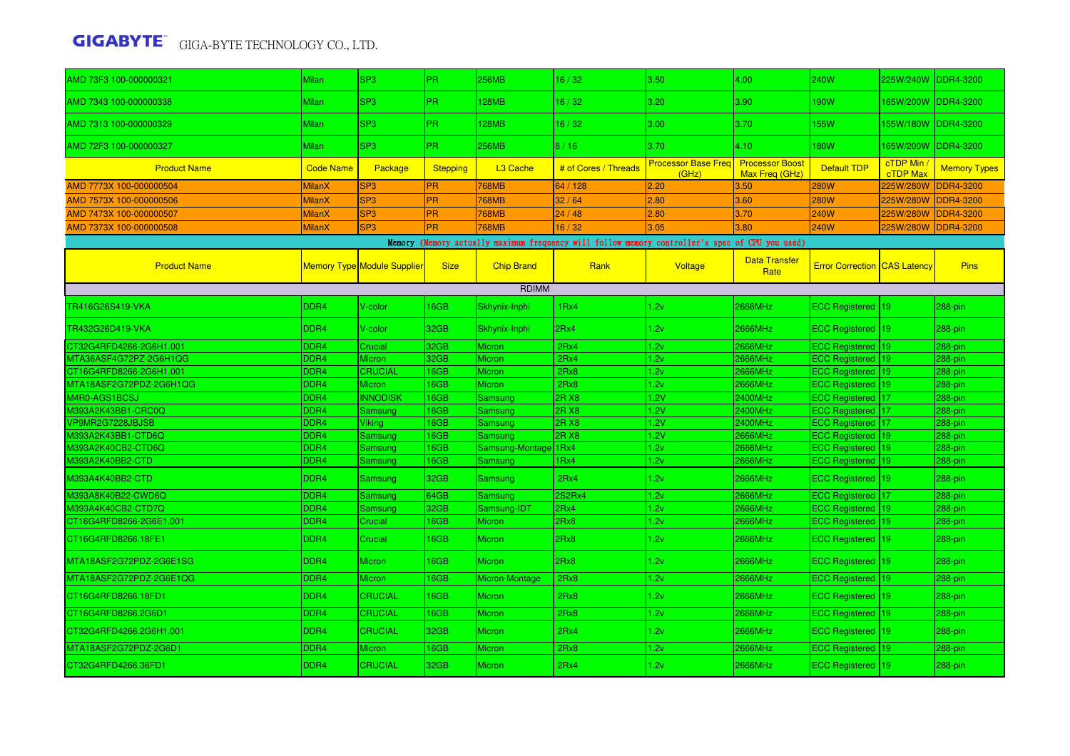| AMD 73F3 100-000000321                 | <b>Milan</b>             | SP <sub>3</sub>                    | <b>PR</b>       | <b>256MB</b>         | 16/32                                                                                           | 3.50                                | 4.00                                     | <b>240W</b>                            | 225W/240W                     | DDR4-3200           |
|----------------------------------------|--------------------------|------------------------------------|-----------------|----------------------|-------------------------------------------------------------------------------------------------|-------------------------------------|------------------------------------------|----------------------------------------|-------------------------------|---------------------|
| AMD 7343 100-000000338                 | <b>Milan</b>             | SP <sub>3</sub>                    | <b>PR</b>       | 128MB                | 16/32                                                                                           | 3.20                                | 3.90                                     | 190W                                   | 165W/200W                     | DDR4-3200           |
| AMD 7313 100-000000329                 | Milan                    | SP <sub>3</sub>                    | <b>PR</b>       | 128MB                | 16/32                                                                                           | 3.00                                | 3.70                                     | 155W                                   | 155W/180W                     | <b>DDR4-3200</b>    |
| AMD 72F3 100-000000327                 | <b>Milan</b>             | SP <sub>3</sub>                    | <b>PR</b>       | <b>256MB</b>         | 8/16                                                                                            | 3.70                                | 4.10                                     | 180W                                   | 165W/200W                     | <b>DDR4-3200</b>    |
| <b>Product Name</b>                    | <b>Code Name</b>         | Package                            | <b>Stepping</b> | L <sub>3</sub> Cache | # of Cores / Threads                                                                            | <b>Processor Base Freg</b><br>(GHz) | <b>Processor Boost</b><br>Max Freq (GHz) | <b>Default TDP</b>                     | cTDP Min /<br><b>cTDP Max</b> | <b>Memory Types</b> |
| AMD 7773X 100-000000504                | <b>MilanX</b>            | SP <sub>3</sub>                    | <b>PR</b>       | <b>768MB</b>         | 64 / 128                                                                                        | 2.20                                | .50 <sub>1</sub>                         | 280W                                   | 225W/280W                     | <b>DDR4-3200</b>    |
| AMD 7573X 100-000000506                | <b>MilanX</b>            | SP <sub>3</sub>                    | <b>PR</b>       | <b>768MB</b>         | 32/64                                                                                           | 2.80                                | 3.60                                     | 280W                                   | 225W/280W                     | DDR4-3200           |
| AMD 7473X 100-000000507                | <b>MilanX</b>            | SP <sub>3</sub>                    | <b>PR</b>       | <b>768MB</b>         | 24/48                                                                                           | 2.80                                | 3.70                                     | 240W                                   | 225W/280W                     | <b>DDR4-3200</b>    |
| AMD 7373X 100-000000508                | <b>MilanX</b>            | SP <sub>3</sub>                    | <b>PR</b>       | <b>768MB</b>         | 16/32                                                                                           | 3.05                                | 3.80                                     | 240W                                   | 225W/280W                     | <b>DDR4-3200</b>    |
|                                        |                          |                                    |                 |                      | Memory (Memory actually maximum frequency will follow memory controller's spec of CPU you used) |                                     |                                          |                                        |                               |                     |
| <b>Product Name</b>                    |                          | <b>Memory Type Module Supplier</b> | <b>Size</b>     | <b>Chip Brand</b>    | Rank                                                                                            | Voltage                             | <b>Data Transfer</b><br>Rate             | <b>Error Correction CAS Latency</b>    |                               | <b>Pins</b>         |
|                                        |                          |                                    |                 | <b>RDIMM</b>         |                                                                                                 |                                     |                                          |                                        |                               |                     |
| TR416G26S419-VKA                       | DDR4                     | V-color                            | 16GB            | Skhynix-Inphi        | 1 <sub>Rx4</sub>                                                                                | 1.2v                                | <b>2666MHz</b>                           | <b>ECC Registered 19</b>               |                               | 288-pin             |
| TR432G26D419-VKA                       | DDR4                     | V-color                            | 32GB            | Skhynix-Inphi        | 2Rx4                                                                                            | 1.2v                                | <b>2666MHz</b>                           | <b>ECC Registered 19</b>               |                               | 288-pin             |
| CT32G4RFD4266-2G6H1.001                | DDR <sub>4</sub>         | Crucial                            | 32GB            | <b>Micron</b>        | 2Rx4                                                                                            | 1.2v                                | 2666MHz                                  | ECC Registered 19                      |                               | 288-pin             |
| MTA36ASF4G72PZ-2G6H1QG                 | DDR4                     | <b>Micron</b>                      | 32GB            | Micron               | 2Rx4                                                                                            | 1.2v                                | 2666MHz                                  | ECC Registered 19                      |                               | 288-pin             |
| CT16G4RFD8266-2G6H1.001                | DDR <sub>4</sub>         | <b>CRUCIAL</b>                     | 16GB            | Micron               | 2Rx8                                                                                            | 1.2v                                | <b>2666MHz</b>                           | ECC Registered  19                     |                               | 288-pin             |
| MTA18ASF2G72PDZ-2G6H1QG                | DDR <sub>4</sub>         | <b>Micron</b>                      | 16GB            | Micron               | 2Rx8                                                                                            | 1.2v                                | <b>2666MHz</b>                           | ECC Registered   19                    |                               | 288-pin             |
| M4R0-AGS1BCSJ                          | DDR <sub>4</sub>         | <b>INNODISK</b>                    | 16GB            | Samsung              | <b>2RX8</b>                                                                                     | 1.2V                                | 2400MHz                                  | ECC Registered 17                      |                               | 288-pin             |
| 1393A2K43BB1-CRC0Q                     | DDR <sub>4</sub>         | Samsung                            | 16GB            | <b>Samsung</b>       | <b>2RX8</b>                                                                                     | 1.2V                                | 2400MHz                                  | ECC Registered 17                      |                               | 288-pin             |
| VP9MR2G7228JBJSB                       | DDR4                     | <b>Viking</b>                      | 16GB            | Samsung              | <b>2RX8</b>                                                                                     | 1.2V                                | <b>2400MHz</b>                           | <b>ECC Registered</b> 17               |                               | 288-pin             |
| M393A2K43BB1-CTD6Q                     | DDR <sub>4</sub>         | Samsung                            | 16GB            | <b>Samsung</b>       | <b>2RX8</b>                                                                                     | 1.2V                                | 2666MHz                                  | ECC Registered 19                      |                               | 288-pin             |
| M393A2K40CB2-CTD6Q<br>M393A2K40BB2-CTD | DDR <sub>4</sub><br>DDR4 | Samsung                            | 16GB<br>16GB    | Samsung-Montage 1Rx4 | 1Rx4                                                                                            | 1.2v<br>1.2v                        | <b>2666MHz</b><br><b>2666MHz</b>         | ECC Registered 19                      |                               | 288-pin             |
| 1393A4K40BB2-CTD                       | DDR4                     | Samsung<br>Samsung                 | 32GB            | Samsung<br>Samsung   | 2Rx4                                                                                            | 1.2v                                | <b>2666MHz</b>                           | ECC Registered 19<br>ECC Registered 19 |                               | 288-pin<br>288-pin  |
| M393A8K40B22-CWD6Q                     | DDR <sub>4</sub>         | Samsung                            | 64GB            | <b>Samsung</b>       | 2S2Rx4                                                                                          | 1.2v                                | <b>2666MHz</b>                           | ECC Registered 17                      |                               | 288-pin             |
| M393A4K40CB2-CTD7Q                     | DDR <sub>4</sub>         | Samsung                            | 32GB            | Samsung-IDT          | 2Rx4                                                                                            | 1.2v                                | 2666MHz                                  | ECC Registered  19                     |                               | 288-pin             |
| CT16G4RFD8266-2G6E1.001                | DDR <sub>4</sub>         | Crucial                            | 16GB            | <b>Micron</b>        | 2Rx8                                                                                            | 1.2v                                | <b>2666MHz</b>                           | ECC Registered   19                    |                               | 288-pin             |
| CT16G4RFD8266.18FE1                    | DDR <sub>4</sub>         | Crucial                            | 16GB            | Micron               | 2Rx8                                                                                            | 1.2v                                | <b>2666MHz</b>                           | ECC Registered 19                      |                               | 288-pin             |
| MTA18ASF2G72PDZ-2G6E1SG                | DDR4                     | <b>Micron</b>                      | 16GB            | <b>Micron</b>        | 2Rx8                                                                                            | 1.2v                                | <b>2666MHz</b>                           | <b>ECC Registered 19</b>               |                               | 288-pin             |
| MTA18ASF2G72PDZ-2G6E1QG                | DDR4                     | Micron                             | 16GB            | Micron-Montage       | 2Rx8                                                                                            | 1.2v                                | 2666MHz                                  | ECC Registered 19                      |                               | 288-pin             |
| CT16G4RFD8266.18FD1                    | DDR <sub>4</sub>         | <b>CRUCIAL</b>                     | 16GB            | Micron               | 2Rx8                                                                                            | 1.2v                                | <b>2666MHz</b>                           | ECC Registered 19                      |                               | 288-pin             |
| CT16G4RFD8266.2G6D1                    | DDR4                     | <b>CRUCIAL</b>                     | 16GB            | Micron               | 2Rx8                                                                                            | 1.2v                                | 2666MHz                                  | ECC Registered  19                     |                               | 288-pin             |
| CT32G4RFD4266.2G6H1.001                | DDR4                     | <b>CRUCIAL</b>                     | 32GB            | Micron               | 2Rx4                                                                                            | 1.2v                                | <b>2666MHz</b>                           | <b>ECC Registered 19</b>               |                               | 288-pin             |
| MTA18ASF2G72PDZ-2G6D1                  | DDR4                     | <b>Micron</b>                      | 16GB            | <b>Micron</b>        | 2Rx8                                                                                            | 1.2v                                | 2666MHz                                  | ECC Registered 19                      |                               | 288-pin             |
| CT32G4RFD4266.36FD1                    | DDR4                     | <b>CRUCIAL</b>                     | 32GB            | Micron               | 2Rx4                                                                                            | 1.2v                                | <b>2666MHz</b>                           | ECC Registered 19                      |                               | 288-pin             |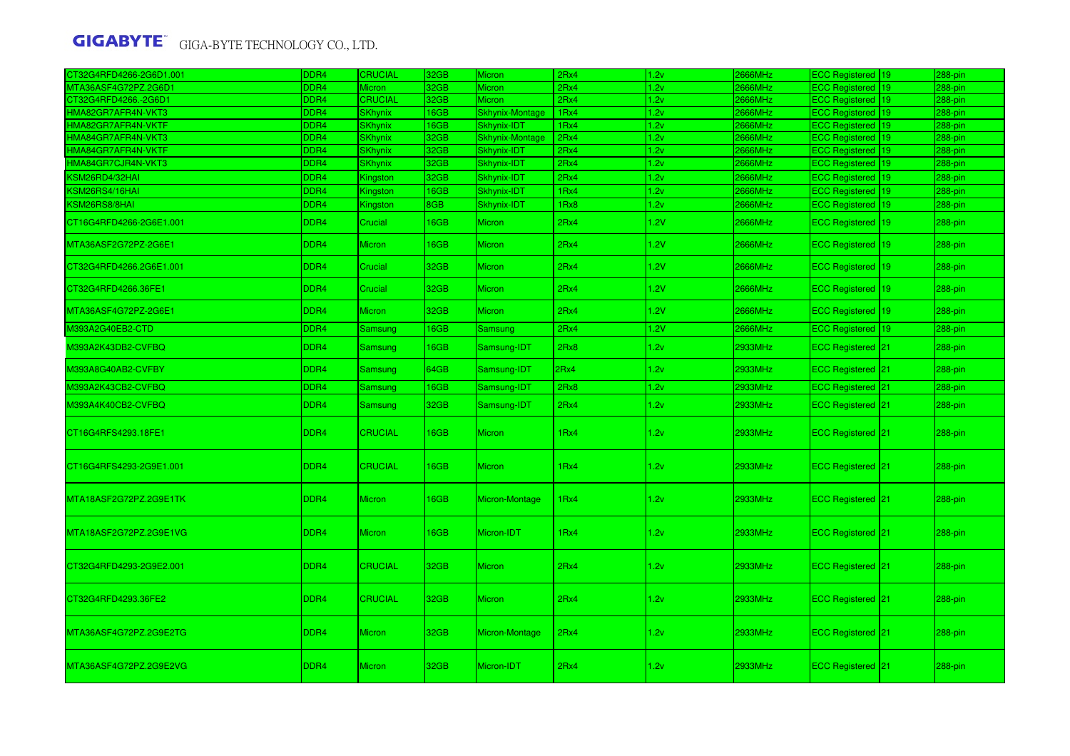| CT32G4RFD4266-2G6D1.001 | DDR <sub>4</sub> | <b>CRUCIAL</b> | 32GB | <b>Micron</b>      | 2Rx4 | 1.2v | <b>2666MHz</b> | ECC Registered 19   | 288-pin    |
|-------------------------|------------------|----------------|------|--------------------|------|------|----------------|---------------------|------------|
| MTA36ASF4G72PZ.2G6D1    | DDR <sub>4</sub> | <b>Micron</b>  | 32GB | <b>Micron</b>      | 2Rx4 | 1.2v | <b>2666MHz</b> | ECC Registered 19   | $288$ -pin |
| CT32G4RFD4266.-2G6D1    | DDR <sub>4</sub> | <b>CRUCIAL</b> | 32GB | <b>Micron</b>      | 2Rx4 | 1.2v | 2666MHz        | ECC Registered 19   | $288$ -pin |
| HMA82GR7AFR4N-VKT3      | DDR4             | <b>SKhynix</b> | 16GB | Skhynix-Montage    | 1Rx4 | 1.2v | 2666MHz        | ECC Registered 19   | 288-pin    |
| HMA82GR7AFR4N-VKTF      | DDR <sub>4</sub> | <b>SKhynix</b> | 16GB | Skhynix-IDT        | 1Rx4 | 1.2v | 2666MHz        | ECC Registered 19   | 288-pin    |
| HMA84GR7AFR4N-VKT3      | DDR <sub>4</sub> | <b>SKhynix</b> | 32GB | Skhynix-Montage    | 2Rx4 | 1.2v | <b>2666MHz</b> | ECC Registered 19   | 288-pin    |
| HMA84GR7AFR4N-VKTF      | DDR <sub>4</sub> | <b>SKhynix</b> | 32GB | <b>Skhynix-IDT</b> | 2Rx4 | 1.2v | <b>2666MHz</b> | ECC Registered 19   | 288-pin    |
| HMA84GR7CJR4N-VKT3      | DDR <sub>4</sub> | <b>SKhynix</b> | 32GB | Skhynix-IDT        | 2Rx4 | 1.2v | <b>2666MHz</b> | ECC Registered 19   | 288-pin    |
| KSM26RD4/32HAI          | DDR <sub>4</sub> | Kingston       | 32GB | Skhynix-IDT        | 2Rx4 | 1.2v | <b>2666MHz</b> | ECC Registered 19   | 288-pin    |
| <b>SM26RS4/16HAI</b>    | DDR4             | Kingston       | 16GB | Skhynix-IDT        | 1Rx4 | 1.2v | 2666MHz        | ECC Registered 19   | 288-pin    |
| KSM26RS8/8HAI           | DDR <sub>4</sub> | Kingston       | 8GB  | Skhynix-IDT        | 1Rx8 | 1.2v | <b>2666MHz</b> | ECC Registered 19   | 288-pin    |
| CT16G4RFD4266-2G6E1.001 | DDR4             | Crucial        | 16GB | Micron             | 2Rx4 | 1.2V | 2666MHz        | ECC Registered 19   | 288-pin    |
| MTA36ASF2G72PZ-2G6E1    | DDR4             | Micron         | 16GB | <b>Micron</b>      | 2Rx4 | 1.2V | 2666MHz        | ECC Registered 19   | 288-pin    |
| CT32G4RFD4266.2G6E1.001 | DDR <sub>4</sub> | Crucial        | 32GB | <b>Micron</b>      | 2Rx4 | 1.2V | <b>2666MHz</b> | ECC Registered 19   | $288$ -pin |
| CT32G4RFD4266.36FE1     | DDR4             | Crucial        | 32GB | Micron             | 2Rx4 | 1.2V | <b>2666MHz</b> | ECC Registered   19 | $288$ -pin |
| MTA36ASF4G72PZ-2G6E1    | DDR4             | <b>Micron</b>  | 32GB | <b>Micron</b>      | 2Rx4 | 1.2V | 2666MHz        | ECC Registered 19   | 288-pin    |
| M393A2G40EB2-CTD        | DDR4             | Samsung        | 16GB | Samsung            | 2Rx4 | 1.2V | 2666MHz        | ECC Registered 19   | 288-pin    |
| M393A2K43DB2-CVFBQ      | DDR4             | Samsung        | 16GB | Samsung-IDT        | 2Rx8 | 1.2v | 2933MHz        | ECC Registered 21   | 288-pin    |
| M393A8G40AB2-CVFBY      | DDR4             | Samsung        | 64GB | Samsung-IDT        | 2Rx4 | 1.2v | 2933MHz        | ECC Registered 21   | $288$ -pin |
| M393A2K43CB2-CVFBQ      | DDR4             | Samsung        | 16GB | Samsung-IDT        | 2Rx8 | 1.2v | 2933MHz        | ECC Registered 21   | 288-pin    |
| M393A4K40CB2-CVFBQ      | DDR4             | <b>Samsung</b> | 32GB | Samsung-IDT        | 2Rx4 | 1.2v | 2933MHz        | ECC Registered 21   | 288-pin    |
| CT16G4RFS4293.18FE1     | DDR4             | <b>CRUCIAL</b> | 16GB | Micron             | 1Rx4 | 1.2v | 2933MHz        | ECC Registered 21   | 288-pin    |
| CT16G4RFS4293-2G9E1.001 | DDR4             | <b>CRUCIAL</b> | 16GB | <b>Micron</b>      | 1Rx4 | 1.2v | 2933MHz        | ECC Registered 21   | $288$ -pin |
| MTA18ASF2G72PZ.2G9E1TK  | DDR4             | <b>Micron</b>  | 16GB | Micron-Montage     | 1Rx4 | 1.2v | 2933MHz        | ECC Registered 21   | $288$ -pin |
| MTA18ASF2G72PZ.2G9E1VG  | DDR4             | <b>Micron</b>  | 16GB | Micron-IDT         | 1Rx4 | 1.2v | 2933MHz        | ECC Registered 21   | $288$ -pin |
| CT32G4RFD4293-2G9E2.001 | DDR4             | <b>CRUCIAL</b> | 32GB | <b>Micron</b>      | 2Rx4 | 1.2v | 2933MHz        | ECC Registered 21   | 288-pin    |
| CT32G4RFD4293.36FE2     | DDR4             | <b>CRUCIAL</b> | 32GB | <b>Micron</b>      | 2Rx4 | 1.2v | 2933MHz        | ECC Registered 21   | 288-pin    |
| MTA36ASF4G72PZ.2G9E2TG  | DDR4             | <b>Micron</b>  | 32GB | Micron-Montage     | 2Rx4 | 1.2v | 2933MHz        | ECC Registered 21   | 288-pin    |
| MTA36ASF4G72PZ.2G9E2VG  | DDR <sub>4</sub> | <b>Micron</b>  | 32GB | Micron-IDT         | 2Rx4 | 1.2v | 2933MHz        | ECC Registered 21   | $288$ -pin |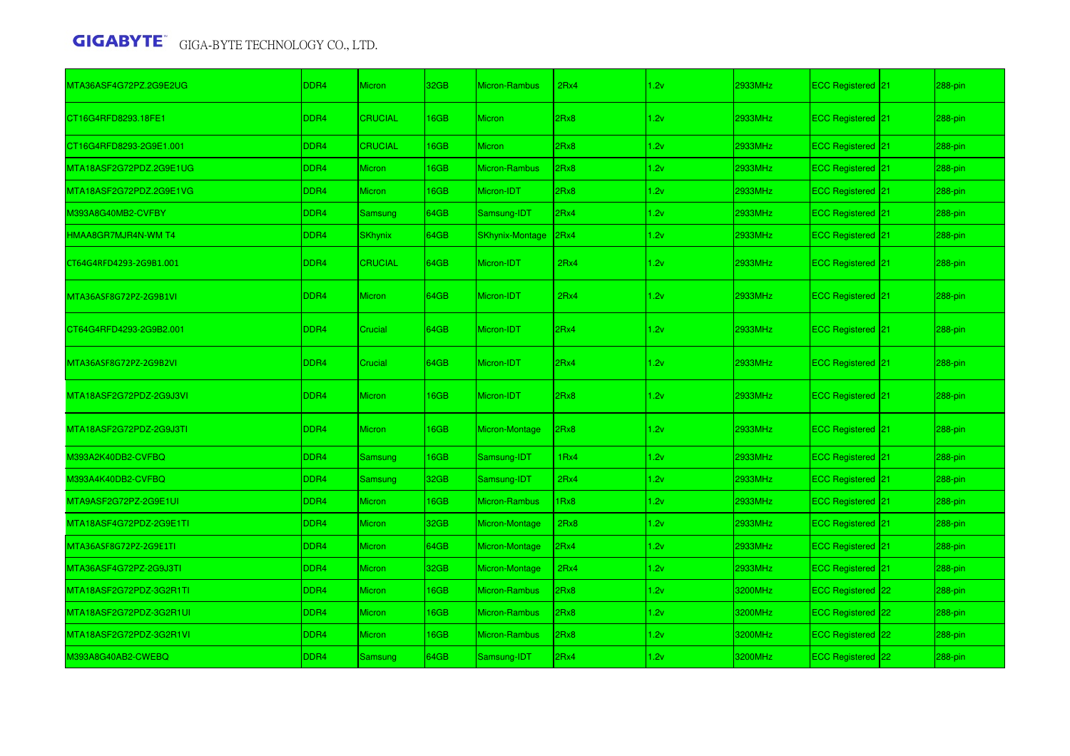| MTA36ASF4G72PZ.2G9E2UG  | DDR <sub>4</sub> | <b>Micron</b>  | 32GB | Micron-Rambus          | 2Rx4             | 1.2v | 2933MHz        | ECC Registered 21        | $288-pin$  |
|-------------------------|------------------|----------------|------|------------------------|------------------|------|----------------|--------------------------|------------|
| CT16G4RFD8293.18FE1     | DDR <sub>4</sub> | <b>CRUCIAL</b> | 16GB | <b>Micron</b>          | 2Rx8             | 1.2v | 2933MHz        | ECC Registered 21        | $288-pin$  |
| CT16G4RFD8293-2G9E1.001 | DDR4             | <b>CRUCIAL</b> | 16GB | <b>Micron</b>          | 2Rx8             | 1.2v | 2933MHz        | ECC Registered 21        | 288-pin    |
| MTA18ASF2G72PDZ.2G9E1UG | DDR <sub>4</sub> | <b>Micron</b>  | 16GB | <b>Micron-Rambus</b>   | 2Rx8             | 1.2v | 2933MHz        | <b>ECC Registered 21</b> | 288-pin    |
| MTA18ASF2G72PDZ.2G9E1VG | DDR <sub>4</sub> | <b>Micron</b>  | 16GB | Micron-IDT             | 2Rx8             | 1.2v | 2933MHz        | ECC Registered 21        | 288-pin    |
| M393A8G40MB2-CVFBY      | DDR <sub>4</sub> | <b>Samsung</b> | 64GB | Samsung-IDT            | 2Rx4             | 1.2v | 2933MHz        | ECC Registered 21        | 288-pin    |
| HMAA8GR7MJR4N-WM T4     | DDR <sub>4</sub> | <b>SKhynix</b> | 64GB | <b>SKhynix-Montage</b> | 2Rx4             | 1.2v | 2933MHz        | ECC Registered 21        | 288-pin    |
| CT64G4RFD4293-2G9B1.001 | DDR <sub>4</sub> | <b>CRUCIAL</b> | 64GB | Micron-IDT             | 2Rx4             | 1.2v | 2933MHz        | ECC Registered 21        | $288$ -pin |
| MTA36ASF8G72PZ-2G9B1VI  | DDR <sub>4</sub> | <b>Micron</b>  | 64GB | Micron-IDT             | 2Rx4             | 1.2v | 2933MHz        | <b>ECC Registered 21</b> | $288-pin$  |
| CT64G4RFD4293-2G9B2.001 | DDR <sub>4</sub> | Crucial        | 64GB | Micron-IDT             | 2Rx4             | 1.2v | 2933MHz        | <b>ECC Registered 21</b> | 288-pin    |
| MTA36ASF8G72PZ-2G9B2VI  | DDR4             | Crucial        | 64GB | Micron-IDT             | 2Rx4             | 1.2v | 2933MHz        | ECC Registered 21        | $288$ -pin |
| MTA18ASF2G72PDZ-2G9J3VI | DDR <sub>4</sub> | <b>Micron</b>  | 16GB | Micron-IDT             | 2Rx8             | 1.2v | <b>2933MHz</b> | <b>ECC Registered 21</b> | 288-pin    |
| MTA18ASF2G72PDZ-2G9J3TI | DDR <sub>4</sub> | <b>Micron</b>  | 16GB | Micron-Montage         | 2Rx8             | 1.2v | 2933MHz        | ECC Registered 21        | 288-pin    |
| 1393A2K40DB2-CVFBQ      | DDR <sub>4</sub> | Samsung        | 16GB | Samsung-IDT            | 1 <sub>Rx4</sub> | 1.2v | 2933MHz        | ECC Registered 21        | 288-pin    |
| 1393A4K40DB2-CVFBQ      | DDR <sub>4</sub> | Samsung        | 32GB | Samsung-IDT            | 2Rx4             | 1.2v | 2933MHz        | ECC Registered 21        | 288-pin    |
| MTA9ASF2G72PZ-2G9E1UI   | DDR <sub>4</sub> | <b>Micron</b>  | 16GB | Micron-Rambus          | 1Rx8             | 1.2v | 2933MHz        | ECC Registered 21        | 288-pin    |
| MTA18ASF4G72PDZ-2G9E1TI | DDR <sub>4</sub> | Micron         | 32GB | Micron-Montage         | 2Rx8             | 1.2v | 2933MHz        | ECC Registered 21        | 288-pin    |
| MTA36ASF8G72PZ-2G9E1TI  | DDR <sub>4</sub> | <b>Micron</b>  | 64GB | Micron-Montage         | 2Rx4             | 1.2v | 2933MHz        | <b>ECC Registered 21</b> | 288-pin    |
| MTA36ASF4G72PZ-2G9J3TI  | DDR <sub>4</sub> | <b>Micron</b>  | 32GB | Micron-Montage         | 2Rx4             | 1.2v | 2933MHz        | ECC Registered 21        | 288-pin    |
| MTA18ASF2G72PDZ-3G2R1TI | DDR <sub>4</sub> | Micron         | 16GB | Micron-Rambus          | 2Rx8             | 1.2v | 3200MHz        | <b>ECC Registered 22</b> | $288-pin$  |
| MTA18ASF2G72PDZ-3G2R1UI | DDR <sub>4</sub> | <b>Micron</b>  | 16GB | Micron-Rambus          | 2Rx8             | 1.2v | 3200MHz        | <b>ECC Registered 22</b> | 288-pin    |
| MTA18ASF2G72PDZ-3G2R1VI | DDR <sub>4</sub> | <b>Micron</b>  | 16GB | Micron-Rambus          | 2Rx8             | 1.2v | 3200MHz        | ECC Registered 22        | 288-pin    |
| M393A8G40AB2-CWEBQ      | DDR <sub>4</sub> | Samsung        | 64GB | Samsung-IDT            | 2Rx4             | 1.2v | 3200MHz        | ECC Registered 22        | 288-pin    |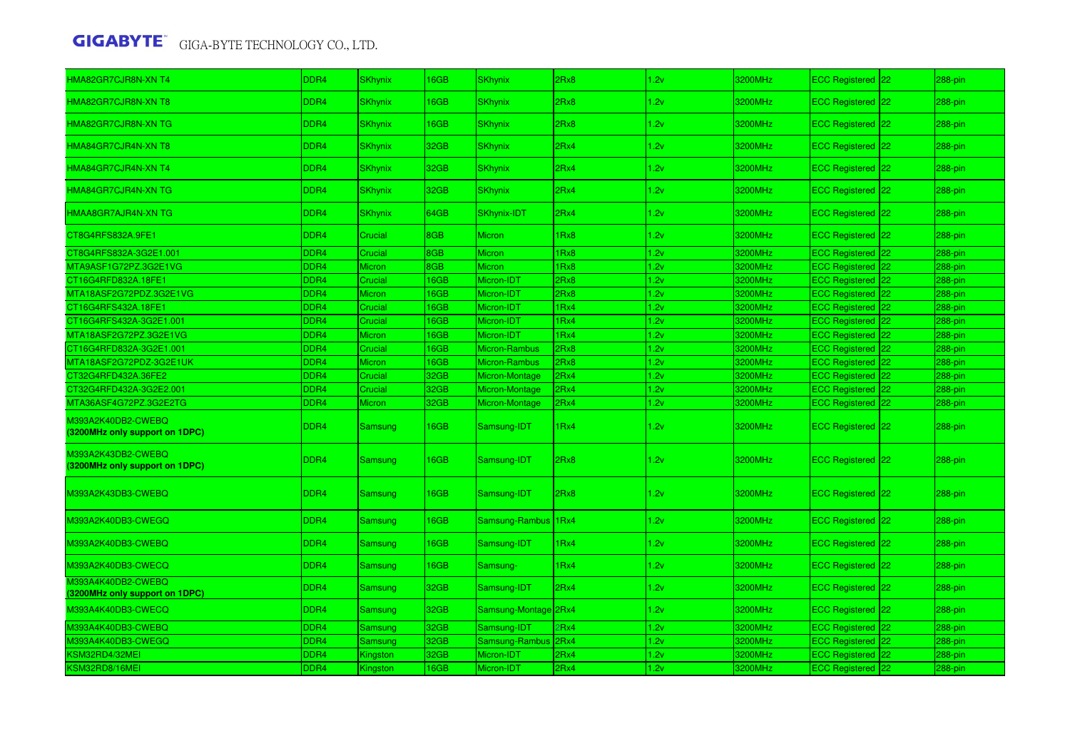| HMA82GR7CJR8N-XN T4                                  | DDR4             | <b>SKhynix</b> | 16GB | <b>SKhynix</b>        | 2Rx8             | 2v   | 3200MHz | ECC Registered 22         | 288-pin    |
|------------------------------------------------------|------------------|----------------|------|-----------------------|------------------|------|---------|---------------------------|------------|
| HMA82GR7CJR8N-XN T8                                  | DDR <sub>4</sub> | <b>SKhynix</b> | 16GB | <b>SKhynix</b>        | 2Rx8             | 1.2v | 3200MHz | ECC Registered 22         | 288-pin    |
| HMA82GR7CJR8N-XN TG                                  | DDR <sub>4</sub> | <b>SKhynix</b> | 16GB | SKhynix               | 2Rx8             | 1.2v | 3200MHz | ECC Registered 22         | 288-pin    |
| HMA84GR7CJR4N-XN T8                                  | DDR4             | <b>SKhynix</b> | 32GB | <b>SKhynix</b>        | 2Rx4             | 1.2v | 3200MHz | ECC Registered 22         | $288-pin$  |
| HMA84GR7CJR4N-XN T4                                  | DDR <sub>4</sub> | <b>SKhynix</b> | 32GB | <b>SKhynix</b>        | 2Rx4             | 1.2v | 3200MHz | ECC Registered 22         | $288-pin$  |
| HMA84GR7CJR4N-XN TG                                  | DDR4             | <b>SKhynix</b> | 32GB | <b>SKhynix</b>        | 2Rx4             | 1.2v | 3200MHz | ECC Registered 22         | $288-pin$  |
| HMAA8GR7AJR4N-XN TG                                  | DDR <sub>4</sub> | <b>SKhynix</b> | 64GB | <b>SKhynix-IDT</b>    | 2Rx4             | 1.2v | 3200MHz | ECC Registered 22         | 288-pin    |
| CT8G4RFS832A.9FE1                                    | DDR <sub>4</sub> | Crucial        | 8GB  | Micron                | 1Rx8             | 1.2v | 3200MHz | ECC Registered 22         | 288-pin    |
| CT8G4RFS832A-3G2E1.001                               | DDR <sub>4</sub> | Crucial        | 8GB  | <b>Micron</b>         | 1Rx8             | 1.2v | 3200MHz | <b>ECC Registered 22</b>  | 288-pin    |
| MTA9ASF1G72PZ.3G2E1VG                                | DDR <sub>4</sub> | Micron         | 8GB  | Micron                | 1Rx8             | 1.2v | 3200MHz | ECC Registered 22         | 288-pin    |
| CT16G4RFD832A.18FE1                                  | DDR <sub>4</sub> | Crucial        | 16GB | Micron-IDT            | 2Rx8             | 1.2v | 3200MHz | ECC Registered 22         | 288-pin    |
| MTA18ASF2G72PDZ.3G2E1VG                              | DDR <sub>4</sub> | <b>Micron</b>  | 16GB | Micron-IDT            | 2Rx8             | 1.2v | 3200MHz | <b>ECC Registered 22</b>  | 288-pin    |
| CT16G4RFS432A.18FE1                                  | DDR <sub>4</sub> | Crucial        | 16GB | Micron-IDT            | 1 <sub>Rx4</sub> | 1.2v | 3200MHz | ECC Registered 22         | 288-pin    |
| CT16G4RFS432A-3G2E1.001                              | DDR <sub>4</sub> | Crucial        | 16GB | Micron-IDT            | 1 <sub>Rx4</sub> | 1.2v | 3200MHz | ECC Registered 22         | 288-pin    |
| MTA18ASF2G72PZ.3G2E1VG                               | DDR <sub>4</sub> | <b>Micron</b>  | 16GB | Micron-IDT            | 1Rx4             | 1.2v | 3200MHz | <b>ECC Registered 22</b>  | 288-pin    |
| CT16G4RFD832A-3G2E1.001                              | DDR <sub>4</sub> | Crucial        | 16GB | Micron-Rambus         | 2Rx8             | 1.2v | 3200MHz | ECC Registered 22         | 288-pin    |
| MTA18ASF2G72PDZ-3G2E1UK                              | DDR <sub>4</sub> | <b>Micron</b>  | 16GB | Micron-Rambus         | 2Rx8             | 1.2v | 3200MHz | ECC Registered 22         | 288-pin    |
| CT32G4RFD432A.36FE2                                  | DDR <sub>4</sub> | Crucial        | 32GB | Micron-Montage        | 2Rx4             | 1.2v | 3200MHz | ECC Registered 22         | 288-pin    |
| CT32G4RFD432A-3G2E2.001                              | DDR <sub>4</sub> | Crucial        | 32GB | Micron-Montage        | 2Rx4             | 1.2v | 3200MHz | ECC Registered 22         | 288-pin    |
| MTA36ASF4G72PZ.3G2E2TG                               | DDR <sub>4</sub> | <b>Micron</b>  | 32GB | Micron-Montage        | 2Rx4             | 1.2v | 3200MHz | ECC Registered 22         | 288-pin    |
| M393A2K40DB2-CWEBQ<br>(3200MHz only support on 1DPC) | DDR4             | Samsung        | 16GB | Samsung-IDT           | 1Rx4             | 1.2v | 3200MHz | <b>ECC Registered 22</b>  | 288-pin    |
| M393A2K43DB2-CWEBQ<br>(3200MHz only support on 1DPC) | DDR4             | Samsung        | 16GB | Samsung-IDT           | 2Rx8             | 1.2v | 3200MHz | <b>ECC Registered  22</b> | $288$ -pin |
| M393A2K43DB3-CWEBQ                                   | DDR <sub>4</sub> | Samsung        | 16GB | Samsung-IDT           | 2Rx8             | 1.2v | 3200MHz | ECC Registered 22         | 288-pin    |
| M393A2K40DB3-CWEGQ                                   | DDR4             | Samsung        | 16GB | Samsung-Rambus        | 1Rx4             | 1.2v | 3200MHz | <b>ECC Registered 22</b>  | 288-pin    |
| M393A2K40DB3-CWEBQ                                   | DDR <sub>4</sub> | <b>Samsung</b> | 16GB | Samsung-IDT           | 1Rx4             | 1.2v | 3200MHz | ECC Registered 22         | 288-pin    |
| M393A2K40DB3-CWECQ                                   | DDR <sub>4</sub> | Samsung        | 16GB | Samsung-              | 1Rx4             | 1.2v | 3200MHz | <b>ECC Registered 22</b>  | 288-pin    |
| M393A4K40DB2-CWEBQ<br>(3200MHz only support on 1DPC) | DDR <sub>4</sub> | Samsung        | 32GB | Samsung-IDT           | 2Rx4             | 1.2v | 3200MHz | ECC Registered 22         | 288-pin    |
| M393A4K40DB3-CWECQ                                   | DDR4             | <b>Samsung</b> | 32GB | Samsung-Montage 2Rx4  |                  | 1.2v | 3200MHz | ECC Registered 22         | 288-pin    |
| M393A4K40DB3-CWEBQ                                   | DDR <sub>4</sub> | Samsung        | 32GB | Samsung-IDT           | PRx4             | 1.2v | 3200MHz | <b>ECC Registered 22</b>  | 288-pin    |
| M393A4K40DB3-CWEGQ                                   | DDR <sub>4</sub> | Samsung        | 32GB | <b>Samsung-Rambus</b> | 2Rx4             | 1.2v | 3200MHz | ECC Registered 22         | 288-pin    |
| <b><sm32rd4 32mei<="" b=""></sm32rd4></b>            | DDR <sub>4</sub> | Kingston       | 32GB | Micron-IDT            | 2Rx4             | 1.2v | 3200MHz | ECC Registered 22         | 288-pin    |
| KSM32RD8/16MEI                                       | DDR <sub>4</sub> | Kingston       | 16GB | Micron-IDT            | 2Rx4             | 1.2v | 3200MHz | <b>ECC Registered 22</b>  | 288-pin    |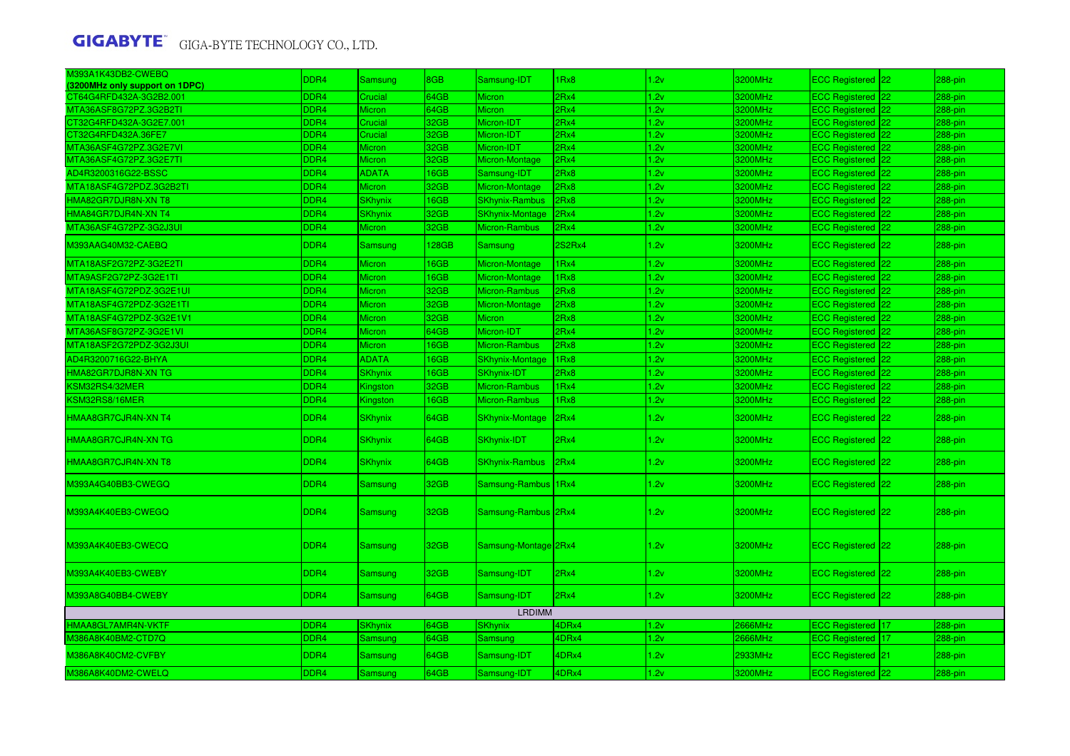| M393A1K43DB2-CWEBQ                            | DDR4                     | Samsung                       | 8GB          | Samsung-IDT            | 1Rx8         | 1.2v         | 3200MHz            | ECC Registered 22        | 288-pin    |
|-----------------------------------------------|--------------------------|-------------------------------|--------------|------------------------|--------------|--------------|--------------------|--------------------------|------------|
| (3200MHz only support on 1DPC)                |                          |                               |              |                        |              |              |                    |                          |            |
| CT64G4RFD432A-3G2B2.001                       | DDR <sub>4</sub>         | Crucial                       | 64GB         | <b>Micron</b>          | 2Rx4         | 1.2v         | 3200MHz            | <b>ECC Registered 22</b> | 288-pin    |
| MTA36ASF8G72PZ.3G2B2TI                        | DDR4                     | Micron                        | 64GB         | <b>Micron</b>          | 2Rx4         | 1.2v         | 3200MHz            | ECC Registered 22        | 288-pin    |
| CT32G4RFD432A-3G2E7.001                       | DDR <sub>4</sub>         | Crucial                       | 32GB         | Micron-IDT             | 2Rx4         | 1.2v         | 3200MHz            | <b>ECC Registered 22</b> | 288-pin    |
| CT32G4RFD432A.36FE7<br>MTA36ASF4G72PZ.3G2E7VI | DDR4<br>DDR <sub>4</sub> | Crucial                       | 32GB<br>32GB | Micron-IDT             | 2Rx4<br>2Rx4 | 1.2v         | 3200MHz            | ECC Registered 22        | 288-pin    |
|                                               | DDR4                     | <b>Micron</b>                 |              | Micron-IDT             |              | 1.2v         | 3200MHz            | ECC Registered 22        | 288-pin    |
| MTA36ASF4G72PZ.3G2E7TI<br>AD4R3200316G22-BSSC | DDR4                     | <b>Micron</b><br><b>ADATA</b> | 32GB<br>16GB | Micron-Montage         | 2Rx4<br>2Rx8 | 1.2v<br>1.2v | 3200MHz<br>3200MHz | ECC Registered 22        | 288-pin    |
|                                               |                          |                               |              | Samsung-IDT            |              |              |                    | ECC Registered 22        | 288-pin    |
| MTA18ASF4G72PDZ.3G2B2TI                       | DDR <sub>4</sub>         | Micron                        | 32GB         | Micron-Montage         | 2Rx8         | 1.2v         | 3200MHz            | ECC Registered 22        | 288-pin    |
| HMA82GR7DJR8N-XN T8                           | DDR4                     | SKhynix                       | 16GB         | <b>SKhynix-Rambus</b>  | 2Rx8         | 1.2v         | 3200MHz            | ECC Registered 22        | 288-pin    |
| HMA84GR7DJR4N-XN T4                           | DDR <sub>4</sub>         | <b>SKhynix</b>                | 32GB         | <b>SKhynix-Montage</b> | 2Rx4         | 1.2v         | 3200MHz            | <b>ECC Registered 22</b> | 288-pin    |
| MTA36ASF4G72PZ-3G2J3UI                        | DDR4                     | <b>Micron</b>                 | 32GB         | Micron-Rambus          | 2Rx4         | 1.2v         | 3200MHz            | ECC Registered 22        | 288-pin    |
| <b>M393AAG40M32-CAEBQ</b>                     | DDR4                     | <b>Samsung</b>                | 128GB        | Samsung                | 2S2Rx4       | 1.2v         | 3200MHz            | ECC Registered 22        | 288-pin    |
| MTA18ASF2G72PZ-3G2E2TI                        | DDR <sub>4</sub>         | <b>Micron</b>                 | 16GB         | Micron-Montage         | 1Rx4         | 1.2v         | 3200MHz            | <b>ECC Registered 22</b> | 288-pin    |
| MTA9ASF2G72PZ-3G2E1TI                         | DDR <sub>4</sub>         | Micron                        | 16GB         | Micron-Montage         | 1Rx8         | 1.2v         | 3200MHz            | ECC Registered 22        | 288-pin    |
| MTA18ASF4G72PDZ-3G2E1UI                       | DDR4                     | Micron                        | 32GB         | Micron-Rambus          | 2Rx8         | 1.2v         | 3200MHz            | ECC Registered 22        | 288-pin    |
| MTA18ASF4G72PDZ-3G2E1TI                       | DDR <sub>4</sub>         | Micron                        | 32GB         | Micron-Montage         | 2Rx8         | 1.2v         | 3200MHz            | ECC Registered 22        | 288-pin    |
| MTA18ASF4G72PDZ-3G2E1V1                       | DDR4                     | Micron                        | 32GB         | Micron                 | 2Rx8         | 1.2v         | 3200MHz            | ECC Registered 22        | 288-pin    |
| MTA36ASF8G72PZ-3G2E1VI                        | DDR4                     | Micron                        | 64GB         | Micron-IDT             | 2Rx4         | 1.2v         | 3200MHz            | ECC Registered 22        | 288-pin    |
| MTA18ASF2G72PDZ-3G2J3UI                       | DDR <sub>4</sub>         | <b>Micron</b>                 | 16GB         | Micron-Rambus          | 2Rx8         | 1.2v         | 3200MHz            | <b>ECC Registered 22</b> | 288-pin    |
| AD4R3200716G22-BHYA                           | DDR4                     | <b>ADATA</b>                  | 16GB         | <b>SKhynix-Montage</b> | 1Rx8         | 1.2v         | 3200MHz            | ECC Registered 22        | 288-pin    |
| HMA82GR7DJR8N-XN TG                           | DDR4                     | <b>SKhynix</b>                | 16GB         | <b>SKhynix-IDT</b>     | 2Rx8         | 1.2v         | 3200MHz            | ECC Registered 22        | 288-pin    |
| KSM32RS4/32MER                                | DDR <sub>4</sub>         | Kingston                      | 32GB         | Micron-Rambus          | 1Rx4         | 1.2v         | 3200MHz            | <b>ECC Registered 22</b> | 288-pin    |
| KSM32RS8/16MER                                | DDR4                     | Kingston                      | 16GB         | <b>Micron-Rambus</b>   | 1Rx8         | 1.2v         | 3200MHz            | ECC Registered 22        | 288-pin    |
| HMAA8GR7CJR4N-XN T4                           | DDR4                     | <b>SKhynix</b>                | 64GB         | <b>SKhynix-Montage</b> | 2Rx4         | 1.2v         | 3200MHz            | <b>ECC Registered 22</b> | 288-pin    |
| HMAA8GR7CJR4N-XN TG                           | DDR4                     | <b>SKhynix</b>                | 64GB         | <b>SKhynix-IDT</b>     | 2Rx4         | 1.2v         | 3200MHz            | ECC Registered 22        | $288$ -pin |
| HMAA8GR7CJR4N-XN T8                           | DDR <sub>4</sub>         | <b>SKhynix</b>                | 64GB         | <b>SKhynix-Rambus</b>  | 2Rx4         | 1.2v         | 3200MHz            | ECC Registered 22        | 288-pin    |
| M393A4G40BB3-CWEGQ                            | DDR4                     | <b>Samsung</b>                | 32GB         | Samsung-Rambus         | 1Rx4         | 1.2v         | 3200MHz            | ECC Registered 22        | 288-pin    |
| M393A4K40EB3-CWEGQ                            | DDR4                     | Samsung                       | 32GB         | Samsung-Rambus 2Rx4    |              | 1.2v         | 3200MHz            | ECC Registered 22        | 288-pin    |
| M393A4K40EB3-CWECQ                            | DDR4                     | Samsung                       | 32GB         | Samsung-Montage 2Rx4   |              | 1.2v         | 3200MHz            | <b>ECC Registered 22</b> | 288-pin    |
| M393A4K40EB3-CWEBY                            | DDR4                     | <b>Samsung</b>                | 32GB         | Samsung-IDT            | 2Rx4         | 1.2v         | 3200MHz            | ECC Registered 22        | 288-pin    |
| M393A8G40BB4-CWEBY                            | DDR4                     | <b>Samsung</b>                | 64GB         | Samsung-IDT            | 2Rx4         | 1.2v         | 3200MHz            | ECC Registered 22        | 288-pin    |
|                                               |                          |                               |              | <b>LRDIMM</b>          |              |              |                    |                          |            |
| <b>HMAA8GL7AMR4N-VKTF</b>                     | DDR4                     | SKhynix                       | 64GB         | <b>SKhynix</b>         | 4DRx4        | 1.2v         | 2666MHz            | ECC Registered   17      | 288-pin    |
| M386A8K40BM2-CTD7Q                            | DDR4                     | Samsung                       | 64GB         | Samsung                | <b>IDRx4</b> | 1.2v         | 2666MHz            | ECC Registered   17      | 288-pin    |
| M386A8K40CM2-CVFBY                            | DDR <sub>4</sub>         | <b>Samsung</b>                | 64GB         | Samsung-IDT            | 4DRx4        | 1.2v         | 2933MHz            | ECC Registered 21        | 288-pin    |
| M386A8K40DM2-CWELQ                            | DDR <sub>4</sub>         | Samsung                       | 64GB         | Samsung-IDT            | 4DRx4        | 1.2v         | 3200MHz            | ECC Registered 22        | 288-pin    |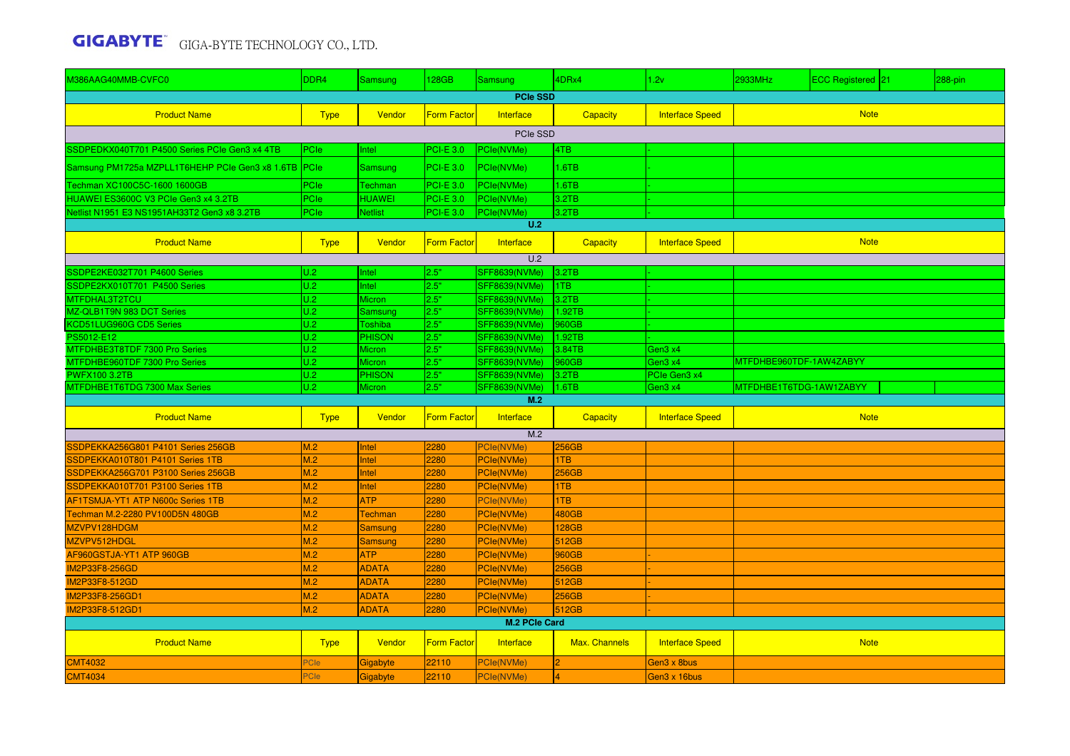| 0386AAG40MMB-CVFC0                                   | DDR4             | <b>Samsung</b> | 128GB              | Samsung              | 4DRx4                | 1.2v                   | 2933MHz                 | ECC Registered 21 | 288-pin |
|------------------------------------------------------|------------------|----------------|--------------------|----------------------|----------------------|------------------------|-------------------------|-------------------|---------|
|                                                      |                  |                |                    | <b>PCIe SSD</b>      |                      |                        |                         |                   |         |
| <b>Product Name</b>                                  | <b>Type</b>      | Vendor         | <b>Form Factor</b> | Interface            | <b>Capacity</b>      | <b>Interface Speed</b> |                         | <b>Note</b>       |         |
|                                                      |                  |                |                    | PCIe SSD             |                      |                        |                         |                   |         |
| SSDPEDKX040T701 P4500 Series PCIe Gen3 x4 4TB        | PCIe             | ntel           | <b>PCI-E 3.0</b>   | PCle(NVMe)           | 4TB                  |                        |                         |                   |         |
| Samsung PM1725a MZPLL1T6HEHP PCle Gen3 x8 1.6TB PCle |                  | <b>Samsung</b> | <b>PCI-E 3.0</b>   | PCle(NVMe)           | 1.6TB                |                        |                         |                   |         |
| Techman XC100C5C-1600 1600GB                         | PCIe             | <b>Techman</b> | <b>PCI-E 3.0</b>   | PCle(NVMe)           | 1.6TB                |                        |                         |                   |         |
| HUAWEI ES3600C V3 PCIe Gen3 x4 3.2TB                 | PCIe             | <b>HUAWEI</b>  | <b>PCI-E 3.0</b>   | PCle(NVMe)           | 3.2TB                |                        |                         |                   |         |
| Netlist N1951 E3 NS1951AH33T2 Gen3 x8 3.2TB          | PCle             | <b>Netlist</b> | <b>PCI-E 3.0</b>   | PCle(NVMe)           | 3.2TB                |                        |                         |                   |         |
|                                                      |                  |                |                    | U.2                  |                      |                        |                         |                   |         |
| <b>Product Name</b>                                  | <b>Type</b>      | Vendor         | <b>Form Factor</b> | Interface            | <b>Capacity</b>      | <b>Interface Speed</b> |                         | <b>Note</b>       |         |
|                                                      |                  |                |                    | U.2                  |                      |                        |                         |                   |         |
| SSDPE2KE032T701 P4600 Series                         | U.2              | Intel          | 2.5"               | <b>SFF8639(NVMe)</b> | 3.2TB                |                        |                         |                   |         |
| SSDPE2KX010T701 P4500 Series                         | U.2              | Intel          | 2.5"               | <b>SFF8639(NVMe)</b> | 1TB                  |                        |                         |                   |         |
| MTFDHAL3T2TCU                                        | $\overline{U.2}$ | Micron         | 2.5"               | SFF8639(NVMe)        | 3.2TB                |                        |                         |                   |         |
| MZ-QLB1T9N 983 DCT Series                            | U.2              | Samsung        | 2.5"               | <b>SFF8639(NVMe)</b> | 1.92TB               |                        |                         |                   |         |
| <b>KCD51LUG960G CD5 Series</b>                       | U.2              | <b>Toshiba</b> | 2.5"               | <b>SFF8639(NVMe)</b> | 960GB                |                        |                         |                   |         |
| PS5012-E12                                           | U.2              | <b>PHISON</b>  | 2.5"               | <b>SFF8639(NVMe)</b> | 1.92TB               |                        |                         |                   |         |
| MTFDHBE3T8TDF 7300 Pro Series                        | U.2              | <b>Micron</b>  | 2.5"               | <b>SFF8639(NVMe)</b> | 3.84TB               | Gen3 x4                |                         |                   |         |
| MTFDHBE960TDF 7300 Pro Series                        | U.2              | <b>Micron</b>  | 2.5"               | <b>SFF8639(NVMe)</b> | 960GB                | Gen3 x4                | MTFDHBE960TDF-1AW4ZABYY |                   |         |
| <b>PWFX100 3.2TB</b>                                 | U.2              | <b>PHISON</b>  | 2.5"               | <b>SFF8639(NVMe)</b> | 3.2TB                | PCle Gen3 x4           |                         |                   |         |
| MTFDHBE1T6TDG 7300 Max Series                        | U.2              | Micron         | 2.5"               | SFF8639(NVMe)        | 1.6TB                | Gen3 x4                | MTFDHBE1T6TDG-1AW1ZABYY |                   |         |
|                                                      |                  |                |                    | M.2                  |                      |                        |                         |                   |         |
| <b>Product Name</b>                                  | <b>Type</b>      | Vendor         | <b>Form Factor</b> | Interface            | <b>Capacity</b>      | <b>Interface Speed</b> |                         | <b>Note</b>       |         |
| SSDPEKKA256G801 P4101 Series 256GB                   | M.2              |                | 2280               | M.2<br>PCle(NVMe)    | 256GB                |                        |                         |                   |         |
| SSDPEKKA010T801 P4101 Series 1TB                     | M.2              | Intel<br>Intel | 2280               | PCle(NVMe)           | 1TB                  |                        |                         |                   |         |
| SSDPEKKA256G701 P3100 Series 256GB                   | M.2              | Intel          | 2280               | PCle(NVMe)           | 256GB                |                        |                         |                   |         |
| SSDPEKKA010T701 P3100 Series 1TB                     | M.2              | Intel          | 2280               | PCle(NVMe)           | 1TB                  |                        |                         |                   |         |
| AF1TSMJA-YT1 ATP N600c Series 1TB                    | M.2              | <b>ATP</b>     | 2280               | PCle(NVMe)           | 1TB                  |                        |                         |                   |         |
| Techman M.2-2280 PV100D5N 480GB                      | M.2              | <b>Techman</b> | 2280               | PCle(NVMe)           | 480GB                |                        |                         |                   |         |
| MZVPV128HDGM                                         | M.2              | Samsung        | 2280               | PCle(NVMe)           | 128GB                |                        |                         |                   |         |
| MZVPV512HDGL                                         | M.2              | <b>Samsung</b> | 2280               | PCle(NVMe)           | 512GB                |                        |                         |                   |         |
| AF960GSTJA-YT1 ATP 960GB                             | M.2              | <b>ATP</b>     | 2280               | PCle(NVMe)           | 960GB                |                        |                         |                   |         |
| <b>IM2P33F8-256GD</b>                                | M.2              | <b>ADATA</b>   | 2280               | PCle(NVMe)           | 256GB                |                        |                         |                   |         |
| IM2P33F8-512GD                                       | M.2              | <b>ADATA</b>   | 2280               | PCle(NVMe)           | 512GB                |                        |                         |                   |         |
| IM2P33F8-256GD1                                      | M.2              | <b>ADATA</b>   | 2280               | PCle(NVMe)           | 256GB                |                        |                         |                   |         |
| IM2P33F8-512GD1                                      | M.2              | <b>ADATA</b>   | 2280               | PCle(NVMe)           | 512GB                |                        |                         |                   |         |
|                                                      |                  |                |                    | M.2 PCle Card        |                      |                        |                         |                   |         |
|                                                      |                  |                |                    |                      |                      |                        |                         |                   |         |
| <b>Product Name</b>                                  | <b>Type</b>      | Vendor         | <b>Form Factor</b> | Interface            | <b>Max. Channels</b> | <b>Interface Speed</b> |                         | <b>Note</b>       |         |
| <b>CMT4032</b>                                       | <sup>P</sup> Cle | Gigabyte       | 22110              | PCle(NVMe)           | $\mathcal{P}$        | Gen3 x 8bus            |                         |                   |         |
| <b>CMT4034</b>                                       | <sup>P</sup> Cle | Gigabyte       | 22110              | PCle(NVMe)           | $\overline{A}$       | Gen3 x 16bus           |                         |                   |         |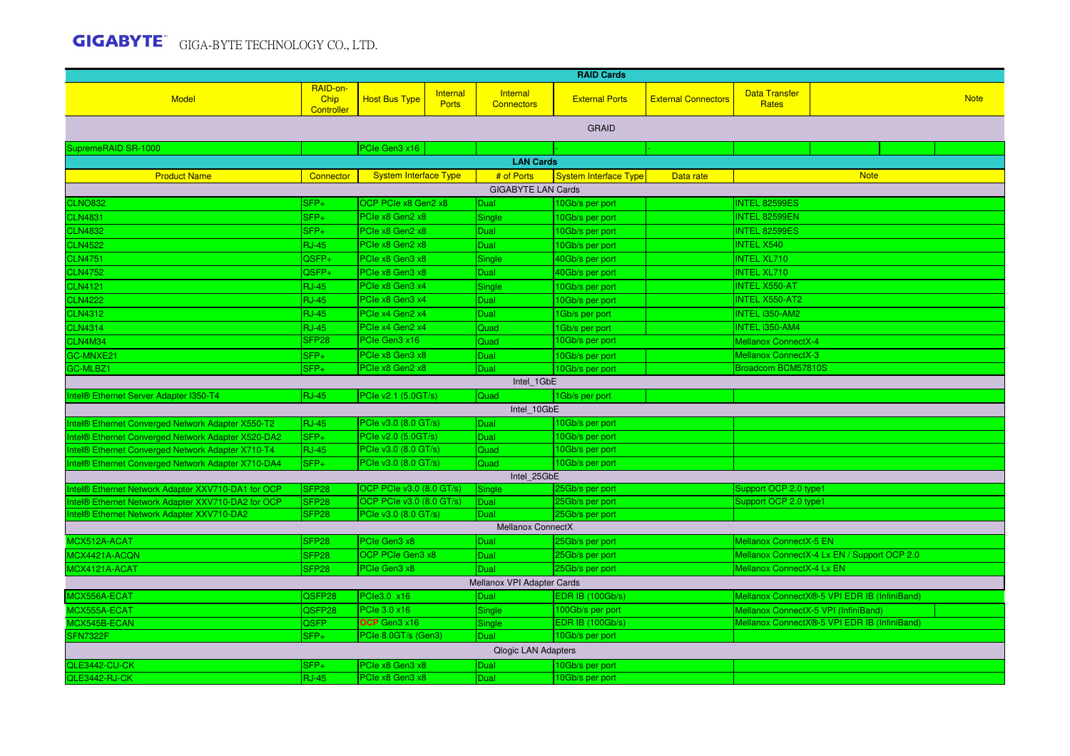|                                                                                                  |                                        |                                                      |                          |                               | <b>RAID Cards</b>       |                            |                                      |                                              |
|--------------------------------------------------------------------------------------------------|----------------------------------------|------------------------------------------------------|--------------------------|-------------------------------|-------------------------|----------------------------|--------------------------------------|----------------------------------------------|
| <b>Model</b>                                                                                     | RAID-on-<br>Chip<br>Controller         | <b>Host Bus Type</b>                                 | Internal<br><b>Ports</b> | Internal<br><b>Connectors</b> | <b>External Ports</b>   | <b>External Connectors</b> | <b>Data Transfer</b><br><b>Rates</b> | <b>Note</b>                                  |
|                                                                                                  |                                        |                                                      |                          |                               | <b>GRAID</b>            |                            |                                      |                                              |
| SupremeRAID SR-1000                                                                              |                                        | PCIe Gen3 x16                                        |                          |                               |                         |                            |                                      |                                              |
|                                                                                                  |                                        |                                                      |                          | <b>LAN Cards</b>              |                         |                            |                                      |                                              |
| <b>Product Name</b>                                                                              | <b>Connector</b>                       | <b>System Interface Type</b>                         |                          | # of Ports                    | System Interface Type   | Data rate                  |                                      | <b>Note</b>                                  |
|                                                                                                  |                                        |                                                      |                          | <b>GIGABYTE LAN Cards</b>     |                         |                            |                                      |                                              |
| <b>CLNO832</b>                                                                                   | SFP+                                   | OCP PCIe x8 Gen2 x8                                  |                          | Dual                          | 10Gb/s per port         |                            | <b>INTEL 82599ES</b>                 |                                              |
| <b>CLN4831</b>                                                                                   | $SFP+$                                 | PCle x8 Gen2 x8                                      |                          | Single                        | 10Gb/s per port         |                            | <b>INTEL 82599EN</b>                 |                                              |
| <b>CLN4832</b>                                                                                   | SFP+                                   | PCle x8 Gen2 x8                                      |                          | Dual                          | 10Gb/s per port         |                            | <b>INTEL 82599ES</b>                 |                                              |
| <b>CLN4522</b>                                                                                   | <b>RJ-45</b>                           | PCle x8 Gen2 x8                                      |                          | Dual                          | 10Gb/s per port         |                            | <b>INTEL X540</b>                    |                                              |
| <b>CLN4751</b>                                                                                   | QSFP+                                  | PCle x8 Gen3 x8                                      |                          | Single                        | 40Gb/s per port         |                            | <b>INTEL XL710</b>                   |                                              |
| <b>CLN4752</b>                                                                                   | QSFP+                                  | PCle x8 Gen3 x8                                      |                          | Dual                          | 40Gb/s per port         |                            | <b>INTEL XL710</b>                   |                                              |
| <b>CLN4121</b>                                                                                   | <b>RJ-45</b>                           | PCle x8 Gen3 x4                                      |                          | Single                        | 10Gb/s per port         |                            | <b>INTEL X550-AT</b>                 |                                              |
| <b>CLN4222</b>                                                                                   | <b>RJ-45</b>                           | PCle x8 Gen3 x4                                      |                          | Dual                          | 10Gb/s per port         |                            | <b>INTEL X550-AT2</b>                |                                              |
| <b>CLN4312</b>                                                                                   | <b>RJ-45</b>                           | PCle x4 Gen2 x4                                      |                          | Dual                          | 1Gb/s per port          |                            | INTEL i350-AM2                       |                                              |
| <b>CLN4314</b>                                                                                   | <b>RJ-45</b>                           | PCle x4 Gen2 x4                                      |                          | Quad                          | 1Gb/s per port          |                            | INTEL i350-AM4                       |                                              |
| CLN4M34                                                                                          | SFP <sub>28</sub>                      | PCIe Gen3 x16                                        |                          | Quad                          | 10Gb/s per port         |                            | <b>Mellanox ConnectX-4</b>           |                                              |
| GC-MNXE21                                                                                        | SFP+                                   | PCle x8 Gen3 x8                                      |                          | Dual                          | 10Gb/s per port         | <b>Mellanox ConnectX-3</b> |                                      |                                              |
| GC-MLBZ1                                                                                         | SFP+                                   | PCle x8 Gen2 x8                                      |                          | Dual                          | 10Gb/s per port         |                            | Broadcom BCM57810S                   |                                              |
|                                                                                                  |                                        |                                                      |                          | Intel 1GbE                    |                         |                            |                                      |                                              |
| Intel® Ethernet Server Adapter I350-T4                                                           | <b>RJ-45</b>                           | PCle v2.1 (5.0GT/s)                                  |                          | Quad                          | 1Gb/s per port          |                            |                                      |                                              |
|                                                                                                  |                                        |                                                      |                          | Intel 10GbE                   |                         |                            |                                      |                                              |
| Intel® Ethernet Converged Network Adapter X550-T2                                                | <b>RJ-45</b>                           | PCle v3.0 (8.0 GT/s)                                 |                          | Dual                          | 10Gb/s per port         |                            |                                      |                                              |
| Intel® Ethernet Converged Network Adapter X520-DA2                                               | $SFP+$                                 | PCle v2.0 (5.0GT/s)                                  |                          | Dual                          | 10Gb/s per port         |                            |                                      |                                              |
| Intel® Ethernet Converged Network Adapter X710-T4                                                | <b>RJ-45</b>                           | PCIe v3.0 (8.0 GT/s)                                 |                          | Quad                          | 10Gb/s per port         |                            |                                      |                                              |
| Intel® Ethernet Converged Network Adapter X710-DA4                                               | $SFP+$                                 | PCle v3.0 (8.0 GT/s)                                 |                          | Quad                          | 10Gb/s per port         |                            |                                      |                                              |
|                                                                                                  |                                        |                                                      |                          | Intel 25GbE                   |                         |                            |                                      |                                              |
| Intel® Ethernet Network Adapter XXV710-DA1 for OCP                                               | SFP <sub>28</sub>                      | OCP PCIe v3.0 (8.0 GT/s)<br>OCP PCIe v3.0 (8.0 GT/s) |                          | Single                        | 25Gb/s per port         |                            | Support OCP 2.0 type1                |                                              |
| Intel® Ethernet Network Adapter XXV710-DA2 for OCP<br>Intel® Ethernet Network Adapter XXV710-DA2 | SFP <sub>28</sub><br>SFP <sub>28</sub> | PCle v3.0 (8.0 GT/s)                                 |                          | Dual<br>Dual                  | 25Gb/s per port         |                            | Support OCP 2.0 type1                |                                              |
|                                                                                                  |                                        |                                                      |                          | <b>Mellanox ConnectX</b>      | 25Gb/s per port         |                            |                                      |                                              |
| MCX512A-ACAT                                                                                     | SFP <sub>28</sub>                      | PCIe Gen3 x8                                         |                          | Dual                          | 25Gb/s per port         |                            | <b>Mellanox ConnectX-5 EN</b>        |                                              |
| MCX4421A-ACQN                                                                                    | SFP <sub>28</sub>                      | OCP PCIe Gen3 x8                                     |                          | Dual                          | 25Gb/s per port         |                            |                                      | Mellanox ConnectX-4 Lx EN / Support OCP 2.0  |
| MCX4121A-ACAT                                                                                    | SFP <sub>28</sub>                      | PCIe Gen3 x8                                         |                          | Dual                          | 25Gb/s per port         |                            | Mellanox ConnectX-4 Lx EN            |                                              |
|                                                                                                  |                                        |                                                      |                          | Mellanox VPI Adapter Cards    |                         |                            |                                      |                                              |
| MCX556A-ECAT                                                                                     | QSFP28                                 | PCle3.0 x16                                          |                          | Dual                          | <b>EDR IB (100Gb/s)</b> |                            |                                      | Mellanox ConnectX®-5 VPI EDR IB (InfiniBand) |
| MCX555A-ECAT                                                                                     | QSFP28                                 | PCle 3.0 x16                                         |                          | Single                        | 100Gb/s per port        |                            | Mellanox ConnectX-5 VPI (InfiniBand) |                                              |
| MCX545B-ECAN                                                                                     | <b>QSFP</b>                            | OCP Gen3 x16                                         |                          | Single                        | <b>EDR IB (100Gb/s)</b> |                            |                                      | Mellanox ConnectX®-5 VPI EDR IB (InfiniBand) |
| SFN7322F                                                                                         | SFP+                                   | PCle 8.0GT/s (Gen3)                                  |                          | Dual                          | 10Gb/s per port         |                            |                                      |                                              |
|                                                                                                  |                                        |                                                      |                          | Qlogic LAN Adapters           |                         |                            |                                      |                                              |
| QLE3442-CU-CK                                                                                    | $SFP+$                                 | PCle x8 Gen3 x8                                      |                          | Dual                          | 10Gb/s per port         |                            |                                      |                                              |
| QLE3442-RJ-CK                                                                                    | <b>RJ-45</b>                           | PCle x8 Gen3 x8                                      |                          | Dual                          | 10Gb/s per port         |                            |                                      |                                              |